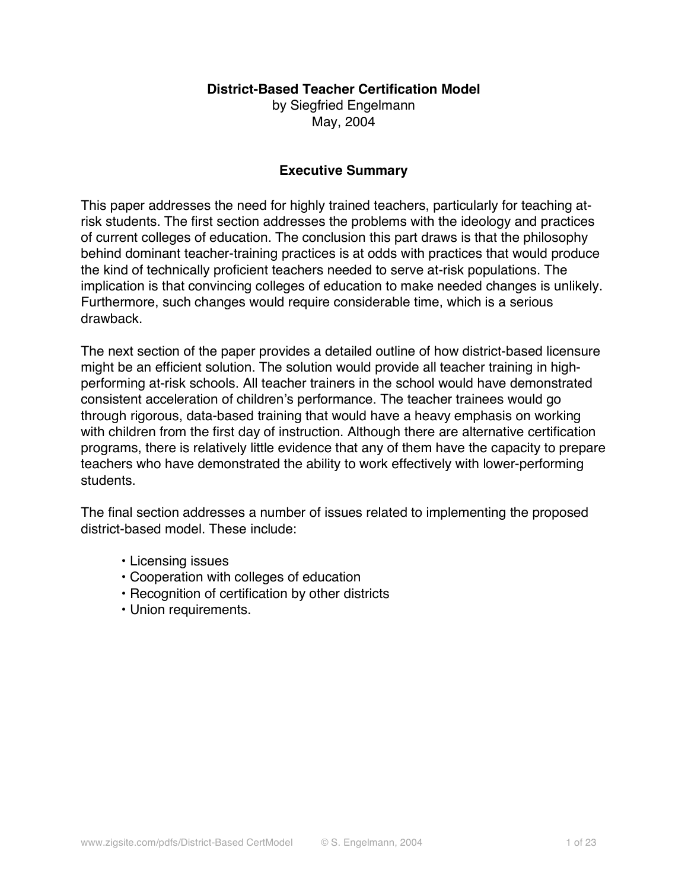### **District-Based Teacher Certification Model**

by Siegfried Engelmann May, 2004

### **Executive Summary**

This paper addresses the need for highly trained teachers, particularly for teaching atrisk students. The first section addresses the problems with the ideology and practices of current colleges of education. The conclusion this part draws is that the philosophy behind dominant teacher-training practices is at odds with practices that would produce the kind of technically proficient teachers needed to serve at-risk populations. The implication is that convincing colleges of education to make needed changes is unlikely. Furthermore, such changes would require considerable time, which is a serious drawback.

The next section of the paper provides a detailed outline of how district-based licensure might be an efficient solution. The solution would provide all teacher training in highperforming at-risk schools. All teacher trainers in the school would have demonstrated consistent acceleration of children's performance. The teacher trainees would go through rigorous, data-based training that would have a heavy emphasis on working with children from the first day of instruction. Although there are alternative certification programs, there is relatively little evidence that any of them have the capacity to prepare teachers who have demonstrated the ability to work effectively with lower-performing students.

The final section addresses a number of issues related to implementing the proposed district-based model. These include:

- Licensing issues
- Cooperation with colleges of education
- Recognition of certification by other districts
- Union requirements.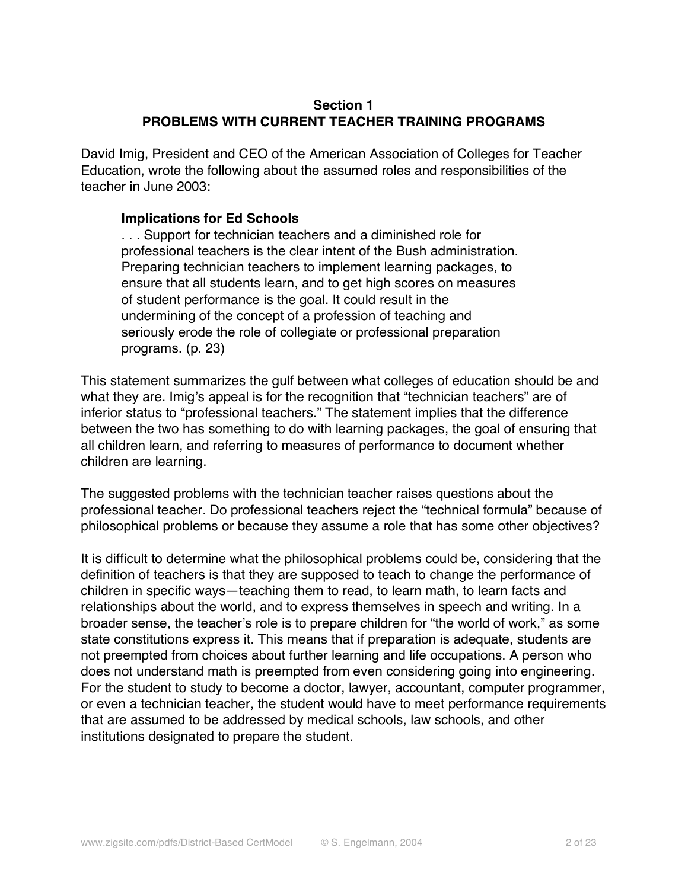## **Section 1 PROBLEMS WITH CURRENT TEACHER TRAINING PROGRAMS**

David Imig, President and CEO of the American Association of Colleges for Teacher Education, wrote the following about the assumed roles and responsibilities of the teacher in June 2003:

### **Implications for Ed Schools**

. . . Support for technician teachers and a diminished role for professional teachers is the clear intent of the Bush administration. Preparing technician teachers to implement learning packages, to ensure that all students learn, and to get high scores on measures of student performance is the goal. It could result in the undermining of the concept of a profession of teaching and seriously erode the role of collegiate or professional preparation programs. (p. 23)

This statement summarizes the gulf between what colleges of education should be and what they are. Imig's appeal is for the recognition that "technician teachers" are of inferior status to "professional teachers." The statement implies that the difference between the two has something to do with learning packages, the goal of ensuring that all children learn, and referring to measures of performance to document whether children are learning.

The suggested problems with the technician teacher raises questions about the professional teacher. Do professional teachers reject the "technical formula" because of philosophical problems or because they assume a role that has some other objectives?

It is difficult to determine what the philosophical problems could be, considering that the definition of teachers is that they are supposed to teach to change the performance of children in specific ways—teaching them to read, to learn math, to learn facts and relationships about the world, and to express themselves in speech and writing. In a broader sense, the teacher's role is to prepare children for "the world of work," as some state constitutions express it. This means that if preparation is adequate, students are not preempted from choices about further learning and life occupations. A person who does not understand math is preempted from even considering going into engineering. For the student to study to become a doctor, lawyer, accountant, computer programmer, or even a technician teacher, the student would have to meet performance requirements that are assumed to be addressed by medical schools, law schools, and other institutions designated to prepare the student.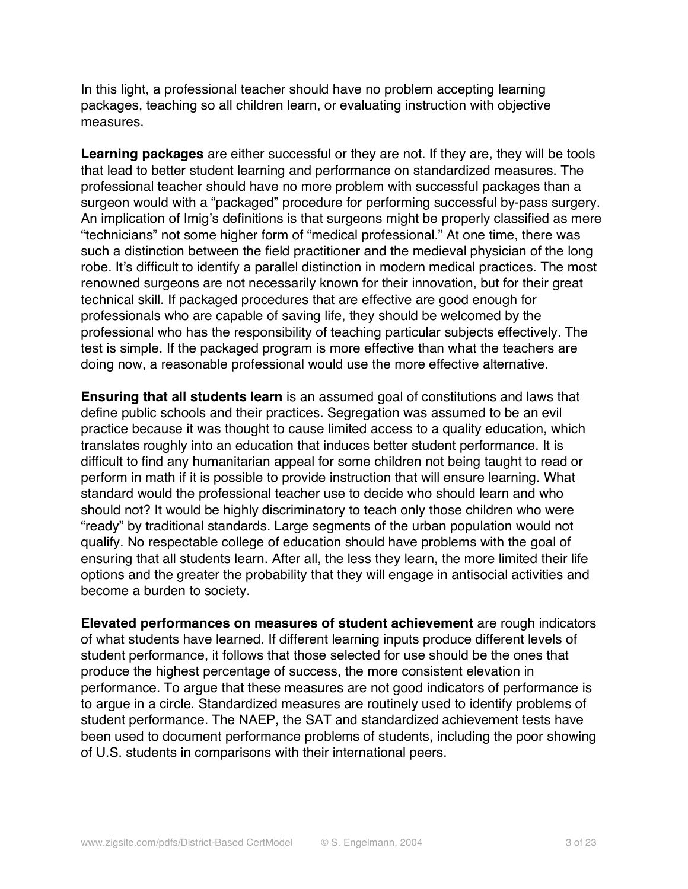In this light, a professional teacher should have no problem accepting learning packages, teaching so all children learn, or evaluating instruction with objective measures.

**Learning packages** are either successful or they are not. If they are, they will be tools that lead to better student learning and performance on standardized measures. The professional teacher should have no more problem with successful packages than a surgeon would with a "packaged" procedure for performing successful by-pass surgery. An implication of Imig's definitions is that surgeons might be properly classified as mere "technicians" not some higher form of "medical professional." At one time, there was such a distinction between the field practitioner and the medieval physician of the long robe. It's difficult to identify a parallel distinction in modern medical practices. The most renowned surgeons are not necessarily known for their innovation, but for their great technical skill. If packaged procedures that are effective are good enough for professionals who are capable of saving life, they should be welcomed by the professional who has the responsibility of teaching particular subjects effectively. The test is simple. If the packaged program is more effective than what the teachers are doing now, a reasonable professional would use the more effective alternative.

**Ensuring that all students learn** is an assumed goal of constitutions and laws that define public schools and their practices. Segregation was assumed to be an evil practice because it was thought to cause limited access to a quality education, which translates roughly into an education that induces better student performance. It is difficult to find any humanitarian appeal for some children not being taught to read or perform in math if it is possible to provide instruction that will ensure learning. What standard would the professional teacher use to decide who should learn and who should not? It would be highly discriminatory to teach only those children who were "ready" by traditional standards. Large segments of the urban population would not qualify. No respectable college of education should have problems with the goal of ensuring that all students learn. After all, the less they learn, the more limited their life options and the greater the probability that they will engage in antisocial activities and become a burden to society.

**Elevated performances on measures of student achievement** are rough indicators of what students have learned. If different learning inputs produce different levels of student performance, it follows that those selected for use should be the ones that produce the highest percentage of success, the more consistent elevation in performance. To argue that these measures are not good indicators of performance is to argue in a circle. Standardized measures are routinely used to identify problems of student performance. The NAEP, the SAT and standardized achievement tests have been used to document performance problems of students, including the poor showing of U.S. students in comparisons with their international peers.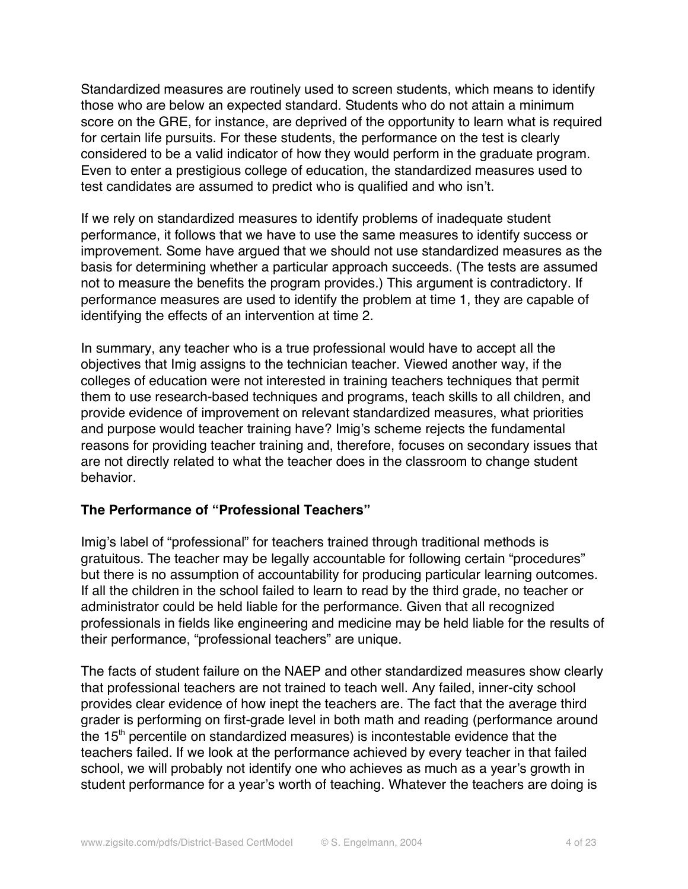Standardized measures are routinely used to screen students, which means to identify those who are below an expected standard. Students who do not attain a minimum score on the GRE, for instance, are deprived of the opportunity to learn what is required for certain life pursuits. For these students, the performance on the test is clearly considered to be a valid indicator of how they would perform in the graduate program. Even to enter a prestigious college of education, the standardized measures used to test candidates are assumed to predict who is qualified and who isn't.

If we rely on standardized measures to identify problems of inadequate student performance, it follows that we have to use the same measures to identify success or improvement. Some have argued that we should not use standardized measures as the basis for determining whether a particular approach succeeds. (The tests are assumed not to measure the benefits the program provides.) This argument is contradictory. If performance measures are used to identify the problem at time 1, they are capable of identifying the effects of an intervention at time 2.

In summary, any teacher who is a true professional would have to accept all the objectives that Imig assigns to the technician teacher. Viewed another way, if the colleges of education were not interested in training teachers techniques that permit them to use research-based techniques and programs, teach skills to all children, and provide evidence of improvement on relevant standardized measures, what priorities and purpose would teacher training have? Imig's scheme rejects the fundamental reasons for providing teacher training and, therefore, focuses on secondary issues that are not directly related to what the teacher does in the classroom to change student behavior.

### **The Performance of "Professional Teachers"**

Imig's label of "professional" for teachers trained through traditional methods is gratuitous. The teacher may be legally accountable for following certain "procedures" but there is no assumption of accountability for producing particular learning outcomes. If all the children in the school failed to learn to read by the third grade, no teacher or administrator could be held liable for the performance. Given that all recognized professionals in fields like engineering and medicine may be held liable for the results of their performance, "professional teachers" are unique.

The facts of student failure on the NAEP and other standardized measures show clearly that professional teachers are not trained to teach well. Any failed, inner-city school provides clear evidence of how inept the teachers are. The fact that the average third grader is performing on first-grade level in both math and reading (performance around the  $15<sup>th</sup>$  percentile on standardized measures) is incontestable evidence that the teachers failed. If we look at the performance achieved by every teacher in that failed school, we will probably not identify one who achieves as much as a year's growth in student performance for a year's worth of teaching. Whatever the teachers are doing is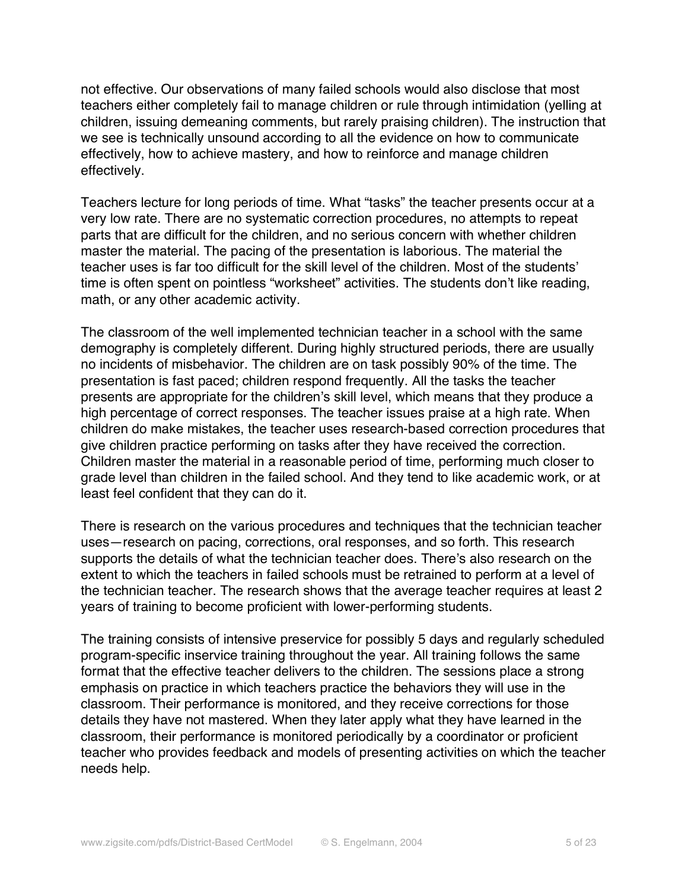not effective. Our observations of many failed schools would also disclose that most teachers either completely fail to manage children or rule through intimidation (yelling at children, issuing demeaning comments, but rarely praising children). The instruction that we see is technically unsound according to all the evidence on how to communicate effectively, how to achieve mastery, and how to reinforce and manage children effectively.

Teachers lecture for long periods of time. What "tasks" the teacher presents occur at a very low rate. There are no systematic correction procedures, no attempts to repeat parts that are difficult for the children, and no serious concern with whether children master the material. The pacing of the presentation is laborious. The material the teacher uses is far too difficult for the skill level of the children. Most of the students' time is often spent on pointless "worksheet" activities. The students don't like reading, math, or any other academic activity.

The classroom of the well implemented technician teacher in a school with the same demography is completely different. During highly structured periods, there are usually no incidents of misbehavior. The children are on task possibly 90% of the time. The presentation is fast paced; children respond frequently. All the tasks the teacher presents are appropriate for the children's skill level, which means that they produce a high percentage of correct responses. The teacher issues praise at a high rate. When children do make mistakes, the teacher uses research-based correction procedures that give children practice performing on tasks after they have received the correction. Children master the material in a reasonable period of time, performing much closer to grade level than children in the failed school. And they tend to like academic work, or at least feel confident that they can do it.

There is research on the various procedures and techniques that the technician teacher uses—research on pacing, corrections, oral responses, and so forth. This research supports the details of what the technician teacher does. There's also research on the extent to which the teachers in failed schools must be retrained to perform at a level of the technician teacher. The research shows that the average teacher requires at least 2 years of training to become proficient with lower-performing students.

The training consists of intensive preservice for possibly 5 days and regularly scheduled program-specific inservice training throughout the year. All training follows the same format that the effective teacher delivers to the children. The sessions place a strong emphasis on practice in which teachers practice the behaviors they will use in the classroom. Their performance is monitored, and they receive corrections for those details they have not mastered. When they later apply what they have learned in the classroom, their performance is monitored periodically by a coordinator or proficient teacher who provides feedback and models of presenting activities on which the teacher needs help.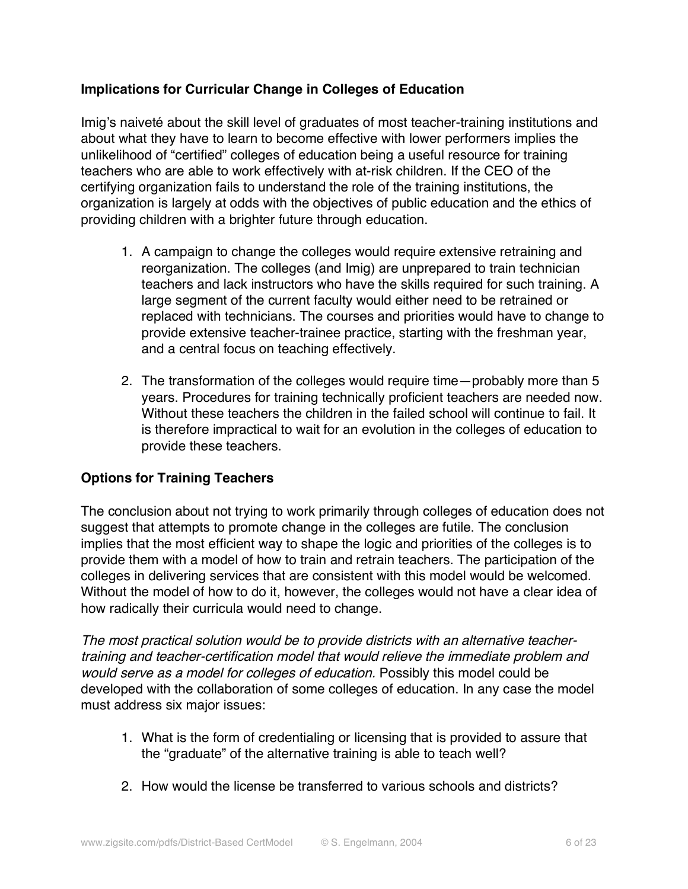# **Implications for Curricular Change in Colleges of Education**

Imig's naiveté about the skill level of graduates of most teacher-training institutions and about what they have to learn to become effective with lower performers implies the unlikelihood of "certified" colleges of education being a useful resource for training teachers who are able to work effectively with at-risk children. If the CEO of the certifying organization fails to understand the role of the training institutions, the organization is largely at odds with the objectives of public education and the ethics of providing children with a brighter future through education.

- 1. A campaign to change the colleges would require extensive retraining and reorganization. The colleges (and Imig) are unprepared to train technician teachers and lack instructors who have the skills required for such training. A large segment of the current faculty would either need to be retrained or replaced with technicians. The courses and priorities would have to change to provide extensive teacher-trainee practice, starting with the freshman year, and a central focus on teaching effectively.
- 2. The transformation of the colleges would require time—probably more than 5 years. Procedures for training technically proficient teachers are needed now. Without these teachers the children in the failed school will continue to fail. It is therefore impractical to wait for an evolution in the colleges of education to provide these teachers.

# **Options for Training Teachers**

The conclusion about not trying to work primarily through colleges of education does not suggest that attempts to promote change in the colleges are futile. The conclusion implies that the most efficient way to shape the logic and priorities of the colleges is to provide them with a model of how to train and retrain teachers. The participation of the colleges in delivering services that are consistent with this model would be welcomed. Without the model of how to do it, however, the colleges would not have a clear idea of how radically their curricula would need to change.

The most practical solution would be to provide districts with an alternative teachertraining and teacher-certification model that would relieve the immediate problem and would serve as a model for colleges of education. Possibly this model could be developed with the collaboration of some colleges of education. In any case the model must address six major issues:

- 1. What is the form of credentialing or licensing that is provided to assure that the "graduate" of the alternative training is able to teach well?
- 2. How would the license be transferred to various schools and districts?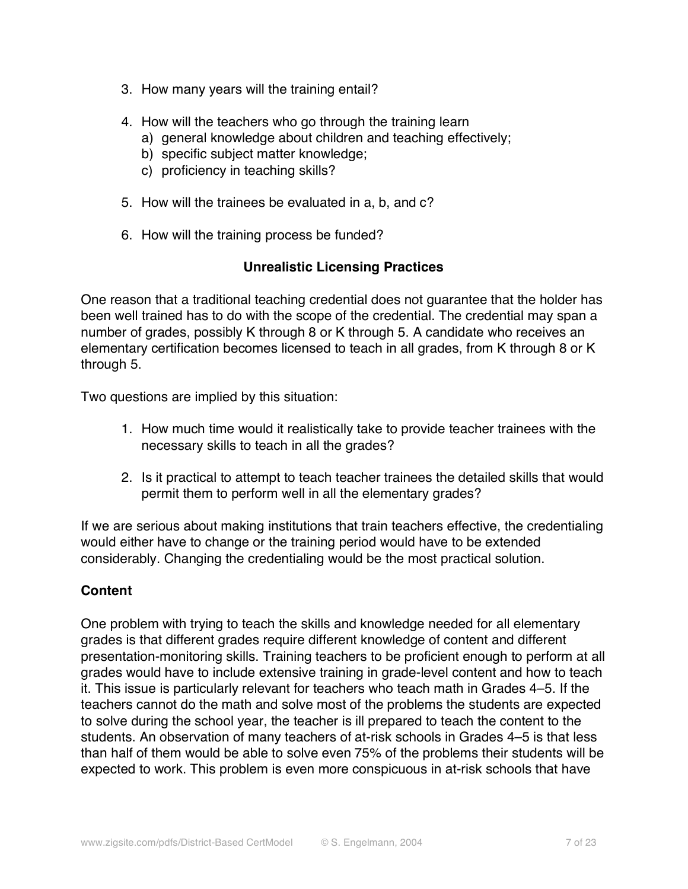- 3. How many years will the training entail?
- 4. How will the teachers who go through the training learn
	- a) general knowledge about children and teaching effectively;
	- b) specific subject matter knowledge;
	- c) proficiency in teaching skills?
- 5. How will the trainees be evaluated in a, b, and c?
- 6. How will the training process be funded?

# **Unrealistic Licensing Practices**

One reason that a traditional teaching credential does not guarantee that the holder has been well trained has to do with the scope of the credential. The credential may span a number of grades, possibly K through 8 or K through 5. A candidate who receives an elementary certification becomes licensed to teach in all grades, from K through 8 or K through 5.

Two questions are implied by this situation:

- 1. How much time would it realistically take to provide teacher trainees with the necessary skills to teach in all the grades?
- 2. Is it practical to attempt to teach teacher trainees the detailed skills that would permit them to perform well in all the elementary grades?

If we are serious about making institutions that train teachers effective, the credentialing would either have to change or the training period would have to be extended considerably. Changing the credentialing would be the most practical solution.

# **Content**

One problem with trying to teach the skills and knowledge needed for all elementary grades is that different grades require different knowledge of content and different presentation-monitoring skills. Training teachers to be proficient enough to perform at all grades would have to include extensive training in grade-level content and how to teach it. This issue is particularly relevant for teachers who teach math in Grades 4–5. If the teachers cannot do the math and solve most of the problems the students are expected to solve during the school year, the teacher is ill prepared to teach the content to the students. An observation of many teachers of at-risk schools in Grades 4–5 is that less than half of them would be able to solve even 75% of the problems their students will be expected to work. This problem is even more conspicuous in at-risk schools that have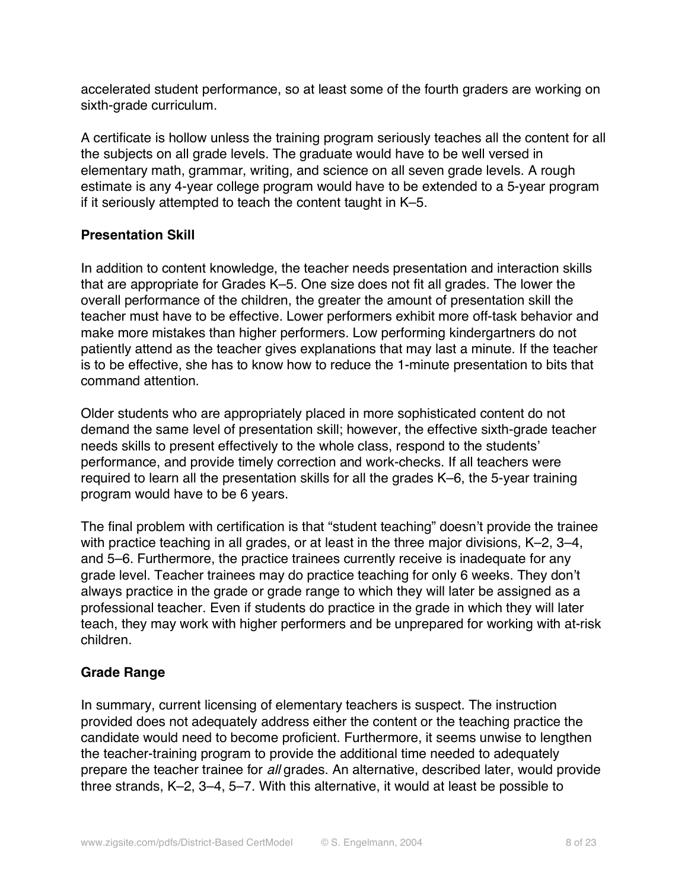accelerated student performance, so at least some of the fourth graders are working on sixth-grade curriculum.

A certificate is hollow unless the training program seriously teaches all the content for all the subjects on all grade levels. The graduate would have to be well versed in elementary math, grammar, writing, and science on all seven grade levels. A rough estimate is any 4-year college program would have to be extended to a 5-year program if it seriously attempted to teach the content taught in K–5.

# **Presentation Skill**

In addition to content knowledge, the teacher needs presentation and interaction skills that are appropriate for Grades K–5. One size does not fit all grades. The lower the overall performance of the children, the greater the amount of presentation skill the teacher must have to be effective. Lower performers exhibit more off-task behavior and make more mistakes than higher performers. Low performing kindergartners do not patiently attend as the teacher gives explanations that may last a minute. If the teacher is to be effective, she has to know how to reduce the 1-minute presentation to bits that command attention.

Older students who are appropriately placed in more sophisticated content do not demand the same level of presentation skill; however, the effective sixth-grade teacher needs skills to present effectively to the whole class, respond to the students' performance, and provide timely correction and work-checks. If all teachers were required to learn all the presentation skills for all the grades K–6, the 5-year training program would have to be 6 years.

The final problem with certification is that "student teaching" doesn't provide the trainee with practice teaching in all grades, or at least in the three major divisions, K–2, 3–4, and 5–6. Furthermore, the practice trainees currently receive is inadequate for any grade level. Teacher trainees may do practice teaching for only 6 weeks. They don't always practice in the grade or grade range to which they will later be assigned as a professional teacher. Even if students do practice in the grade in which they will later teach, they may work with higher performers and be unprepared for working with at-risk children.

### **Grade Range**

In summary, current licensing of elementary teachers is suspect. The instruction provided does not adequately address either the content or the teaching practice the candidate would need to become proficient. Furthermore, it seems unwise to lengthen the teacher-training program to provide the additional time needed to adequately prepare the teacher trainee for all grades. An alternative, described later, would provide three strands, K–2, 3–4, 5–7. With this alternative, it would at least be possible to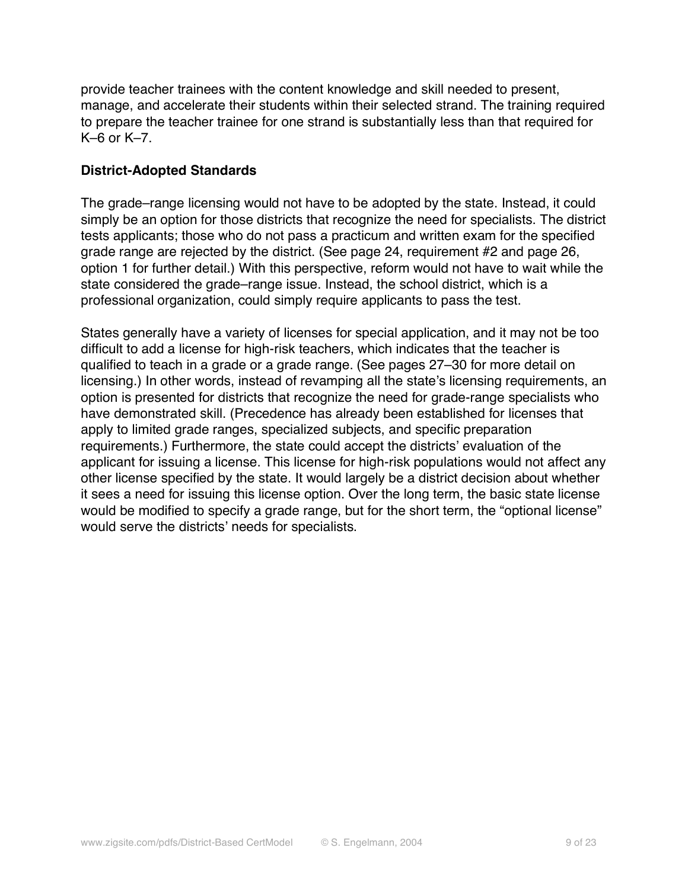provide teacher trainees with the content knowledge and skill needed to present, manage, and accelerate their students within their selected strand. The training required to prepare the teacher trainee for one strand is substantially less than that required for K–6 or K–7.

## **District-Adopted Standards**

The grade–range licensing would not have to be adopted by the state. Instead, it could simply be an option for those districts that recognize the need for specialists. The district tests applicants; those who do not pass a practicum and written exam for the specified grade range are rejected by the district. (See page 24, requirement #2 and page 26, option 1 for further detail.) With this perspective, reform would not have to wait while the state considered the grade–range issue. Instead, the school district, which is a professional organization, could simply require applicants to pass the test.

States generally have a variety of licenses for special application, and it may not be too difficult to add a license for high-risk teachers, which indicates that the teacher is qualified to teach in a grade or a grade range. (See pages 27–30 for more detail on licensing.) In other words, instead of revamping all the state's licensing requirements, an option is presented for districts that recognize the need for grade-range specialists who have demonstrated skill. (Precedence has already been established for licenses that apply to limited grade ranges, specialized subjects, and specific preparation requirements.) Furthermore, the state could accept the districts' evaluation of the applicant for issuing a license. This license for high-risk populations would not affect any other license specified by the state. It would largely be a district decision about whether it sees a need for issuing this license option. Over the long term, the basic state license would be modified to specify a grade range, but for the short term, the "optional license" would serve the districts' needs for specialists.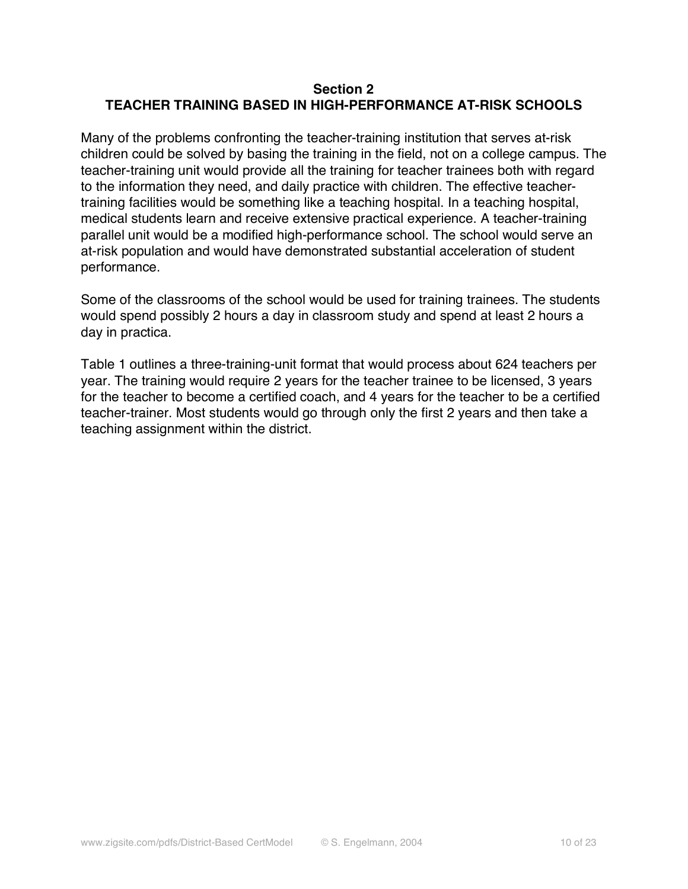## **Section 2 TEACHER TRAINING BASED IN HIGH-PERFORMANCE AT-RISK SCHOOLS**

Many of the problems confronting the teacher-training institution that serves at-risk children could be solved by basing the training in the field, not on a college campus. The teacher-training unit would provide all the training for teacher trainees both with regard to the information they need, and daily practice with children. The effective teachertraining facilities would be something like a teaching hospital. In a teaching hospital, medical students learn and receive extensive practical experience. A teacher-training parallel unit would be a modified high-performance school. The school would serve an at-risk population and would have demonstrated substantial acceleration of student performance.

Some of the classrooms of the school would be used for training trainees. The students would spend possibly 2 hours a day in classroom study and spend at least 2 hours a day in practica.

Table 1 outlines a three-training-unit format that would process about 624 teachers per year. The training would require 2 years for the teacher trainee to be licensed, 3 years for the teacher to become a certified coach, and 4 years for the teacher to be a certified teacher-trainer. Most students would go through only the first 2 years and then take a teaching assignment within the district.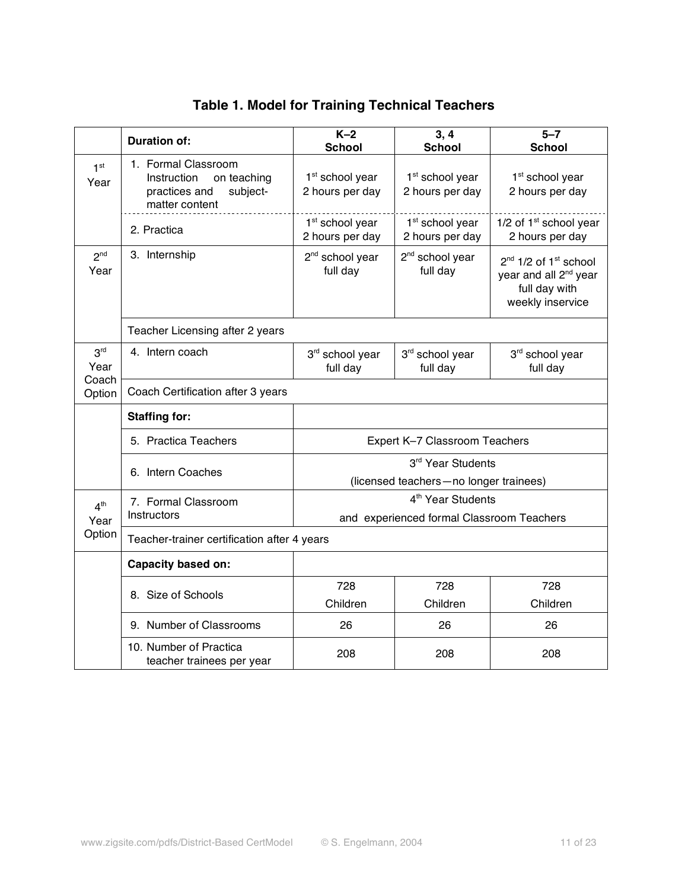|                                   | <b>Duration of:</b>                                                                              | $K-2$                                                                      | 3, 4                                           | $5 - 7$                                                                                                                 |
|-----------------------------------|--------------------------------------------------------------------------------------------------|----------------------------------------------------------------------------|------------------------------------------------|-------------------------------------------------------------------------------------------------------------------------|
|                                   |                                                                                                  | <b>School</b>                                                              | <b>School</b>                                  | <b>School</b>                                                                                                           |
| 1 <sup>st</sup><br>Year           | 1. Formal Classroom<br>Instruction<br>on teaching<br>practices and<br>subject-<br>matter content | 1 <sup>st</sup> school year<br>2 hours per day                             | 1 <sup>st</sup> school year<br>2 hours per day | 1 <sup>st</sup> school year<br>2 hours per day                                                                          |
|                                   | 2. Practica                                                                                      | 1 <sup>st</sup> school year<br>2 hours per day                             | 1 <sup>st</sup> school year<br>2 hours per day | 1/2 of $1st$ school year<br>2 hours per day                                                                             |
| 2 <sup>nd</sup><br>Year           | 3. Internship                                                                                    | 2 <sup>nd</sup> school year<br>full day                                    | 2 <sup>nd</sup> school year<br>full day        | 2 <sup>nd</sup> 1/2 of 1 <sup>st</sup> school<br>year and all 2 <sup>nd</sup> year<br>full day with<br>weekly inservice |
|                                   | Teacher Licensing after 2 years                                                                  |                                                                            |                                                |                                                                                                                         |
| 3 <sup>rd</sup><br>Year<br>Coach  | 4. Intern coach                                                                                  | 3rd school year<br>full day                                                | 3rd school year<br>full day                    | 3rd school year<br>full day                                                                                             |
| Option                            | Coach Certification after 3 years                                                                |                                                                            |                                                |                                                                                                                         |
|                                   | <b>Staffing for:</b>                                                                             |                                                                            |                                                |                                                                                                                         |
|                                   | 5. Practica Teachers                                                                             | Expert K-7 Classroom Teachers                                              |                                                |                                                                                                                         |
|                                   | 6. Intern Coaches                                                                                | 3rd Year Students<br>(licensed teachers-no longer trainees)                |                                                |                                                                                                                         |
| 4 <sup>th</sup><br>Year<br>Option | 7. Formal Classroom                                                                              | 4 <sup>th</sup> Year Students<br>and experienced formal Classroom Teachers |                                                |                                                                                                                         |
|                                   | Instructors                                                                                      |                                                                            |                                                |                                                                                                                         |
|                                   | Teacher-trainer certification after 4 years                                                      |                                                                            |                                                |                                                                                                                         |
|                                   | <b>Capacity based on:</b>                                                                        |                                                                            |                                                |                                                                                                                         |
|                                   | 8. Size of Schools                                                                               | 728                                                                        | 728                                            | 728                                                                                                                     |
|                                   |                                                                                                  | Children                                                                   | Children                                       | Children                                                                                                                |
|                                   | 9. Number of Classrooms                                                                          | 26                                                                         | 26                                             | 26                                                                                                                      |
|                                   | 10. Number of Practica<br>teacher trainees per year                                              | 208                                                                        | 208                                            | 208                                                                                                                     |

# **Table 1. Model for Training Technical Teachers**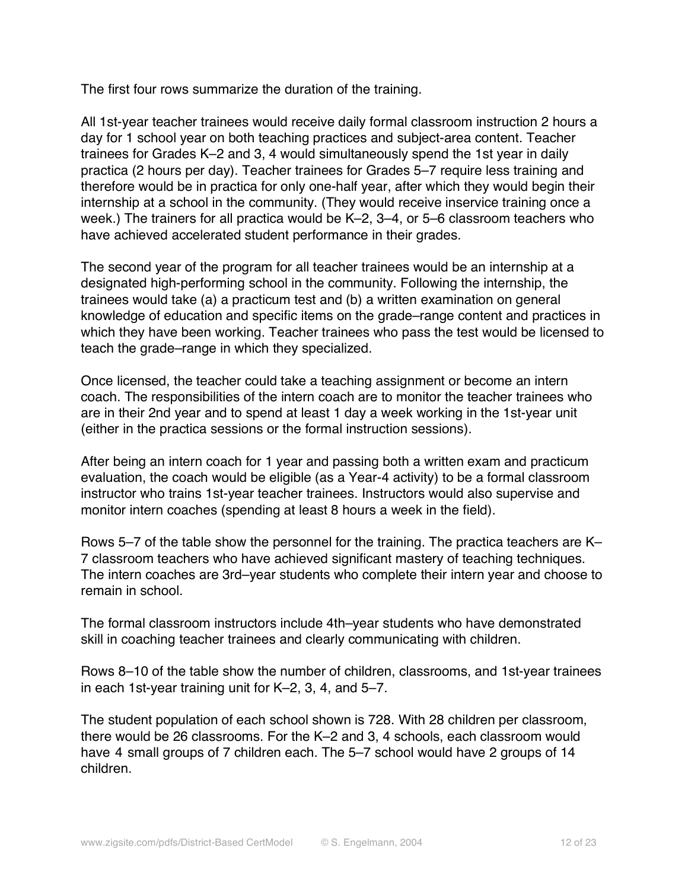The first four rows summarize the duration of the training.

All 1st-year teacher trainees would receive daily formal classroom instruction 2 hours a day for 1 school year on both teaching practices and subject-area content. Teacher trainees for Grades K–2 and 3, 4 would simultaneously spend the 1st year in daily practica (2 hours per day). Teacher trainees for Grades 5–7 require less training and therefore would be in practica for only one-half year, after which they would begin their internship at a school in the community. (They would receive inservice training once a week.) The trainers for all practica would be K–2, 3–4, or 5–6 classroom teachers who have achieved accelerated student performance in their grades.

The second year of the program for all teacher trainees would be an internship at a designated high-performing school in the community. Following the internship, the trainees would take (a) a practicum test and (b) a written examination on general knowledge of education and specific items on the grade–range content and practices in which they have been working. Teacher trainees who pass the test would be licensed to teach the grade–range in which they specialized.

Once licensed, the teacher could take a teaching assignment or become an intern coach. The responsibilities of the intern coach are to monitor the teacher trainees who are in their 2nd year and to spend at least 1 day a week working in the 1st-year unit (either in the practica sessions or the formal instruction sessions).

After being an intern coach for 1 year and passing both a written exam and practicum evaluation, the coach would be eligible (as a Year-4 activity) to be a formal classroom instructor who trains 1st-year teacher trainees. Instructors would also supervise and monitor intern coaches (spending at least 8 hours a week in the field).

Rows 5–7 of the table show the personnel for the training. The practica teachers are K– 7 classroom teachers who have achieved significant mastery of teaching techniques. The intern coaches are 3rd–year students who complete their intern year and choose to remain in school.

The formal classroom instructors include 4th–year students who have demonstrated skill in coaching teacher trainees and clearly communicating with children.

Rows 8–10 of the table show the number of children, classrooms, and 1st-year trainees in each 1st-year training unit for K–2, 3, 4, and 5–7.

The student population of each school shown is 728. With 28 children per classroom, there would be 26 classrooms. For the K–2 and 3, 4 schools, each classroom would have 4 small groups of 7 children each. The 5-7 school would have 2 groups of 14 children.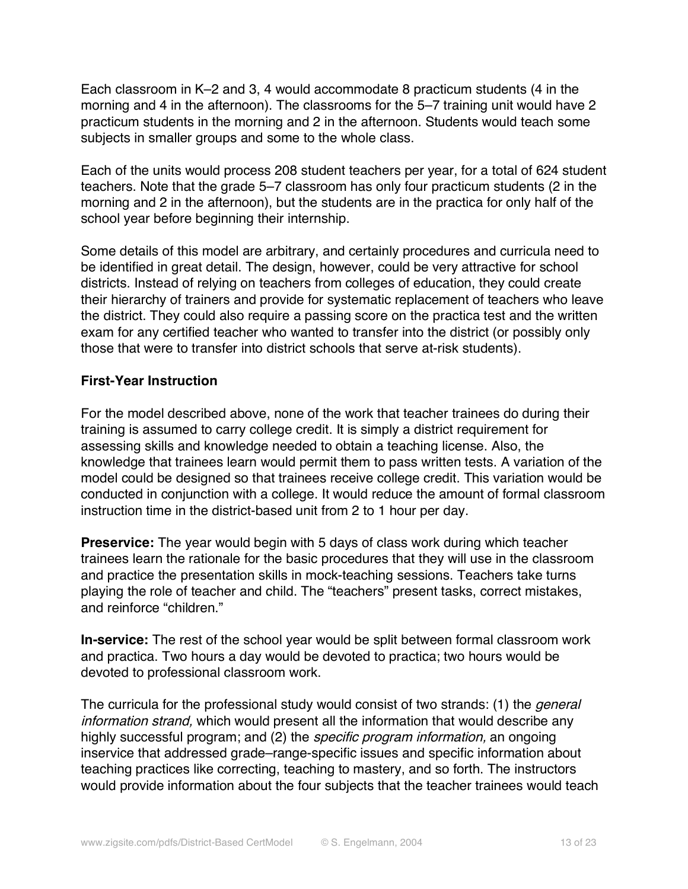Each classroom in K–2 and 3, 4 would accommodate 8 practicum students (4 in the morning and 4 in the afternoon). The classrooms for the 5–7 training unit would have 2 practicum students in the morning and 2 in the afternoon. Students would teach some subjects in smaller groups and some to the whole class.

Each of the units would process 208 student teachers per year, for a total of 624 student teachers. Note that the grade 5–7 classroom has only four practicum students (2 in the morning and 2 in the afternoon), but the students are in the practica for only half of the school year before beginning their internship.

Some details of this model are arbitrary, and certainly procedures and curricula need to be identified in great detail. The design, however, could be very attractive for school districts. Instead of relying on teachers from colleges of education, they could create their hierarchy of trainers and provide for systematic replacement of teachers who leave the district. They could also require a passing score on the practica test and the written exam for any certified teacher who wanted to transfer into the district (or possibly only those that were to transfer into district schools that serve at-risk students).

# **First-Year Instruction**

For the model described above, none of the work that teacher trainees do during their training is assumed to carry college credit. It is simply a district requirement for assessing skills and knowledge needed to obtain a teaching license. Also, the knowledge that trainees learn would permit them to pass written tests. A variation of the model could be designed so that trainees receive college credit. This variation would be conducted in conjunction with a college. It would reduce the amount of formal classroom instruction time in the district-based unit from 2 to 1 hour per day.

**Preservice:** The year would begin with 5 days of class work during which teacher trainees learn the rationale for the basic procedures that they will use in the classroom and practice the presentation skills in mock-teaching sessions. Teachers take turns playing the role of teacher and child. The "teachers" present tasks, correct mistakes, and reinforce "children."

**In-service:** The rest of the school year would be split between formal classroom work and practica. Two hours a day would be devoted to practica; two hours would be devoted to professional classroom work.

The curricula for the professional study would consist of two strands: (1) the *general* information strand, which would present all the information that would describe any highly successful program; and (2) the *specific program information*, an ongoing inservice that addressed grade–range-specific issues and specific information about teaching practices like correcting, teaching to mastery, and so forth. The instructors would provide information about the four subjects that the teacher trainees would teach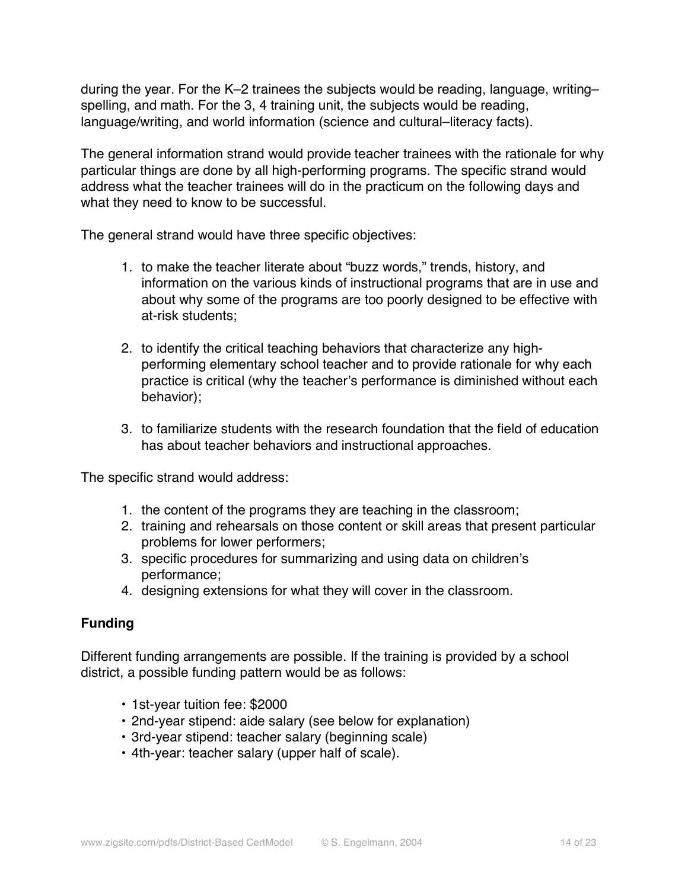during the year. For the K–2 trainees the subjects would be reading, language, writing– spelling, and math. For the 3, 4 training unit, the subjects would be reading, language/writing, and world information (science and cultural–literacy facts).

The general information strand would provide teacher trainees with the rationale for why particular things are done by all high-performing programs. The specific strand would address what the teacher trainees will do in the practicum on the following days and what they need to know to be successful.

The general strand would have three specific objectives:

- 1. to make the teacher literate about "buzz words," trends, history, and information on the various kinds of instructional programs that are in use and about why some of the programs are too poorly designed to be effective with at-risk students;
- 2. to identify the critical teaching behaviors that characterize any highperforming elementary school teacher and to provide rationale for why each practice is critical (why the teacher's performance is diminished without each behavior);
- 3. to familiarize students with the research foundation that the field of education has about teacher behaviors and instructional approaches.

The specific strand would address:

- 1. the content of the programs they are teaching in the classroom;
- 2. training and rehearsals on those content or skill areas that present particular problems for lower performers;
- 3. specific procedures for summarizing and using data on children's performance;
- 4. designing extensions for what they will cover in the classroom.

# **Funding**

Different funding arrangements are possible. If the training is provided by a school district, a possible funding pattern would be as follows:

- 1st-year tuition fee: \$2000
- 2nd-year stipend: aide salary (see below for explanation)
- 3rd-year stipend: teacher salary (beginning scale)
- 4th-year: teacher salary (upper half of scale).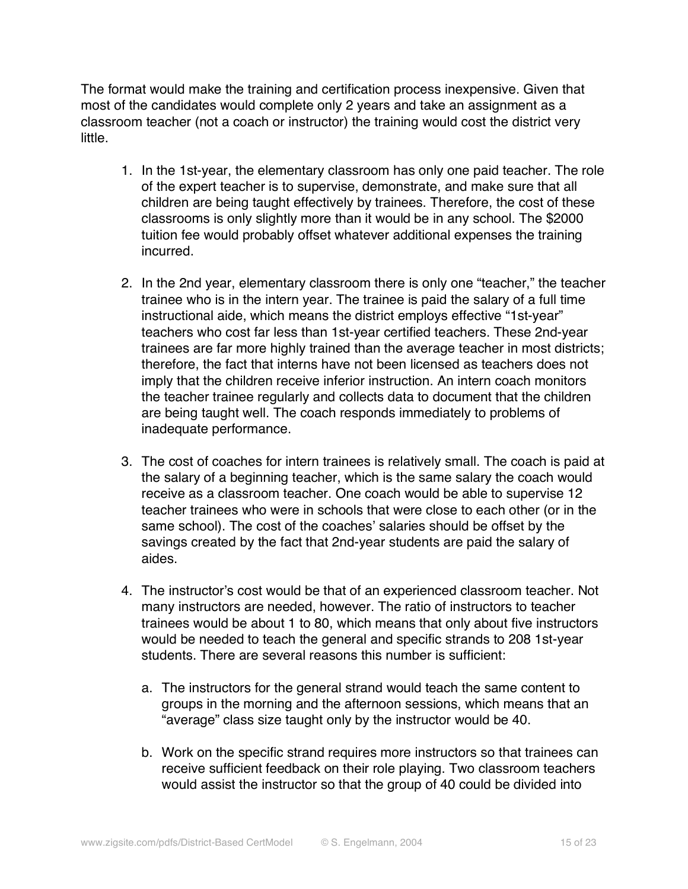The format would make the training and certification process inexpensive. Given that most of the candidates would complete only 2 years and take an assignment as a classroom teacher (not a coach or instructor) the training would cost the district very little.

- 1. In the 1st-year, the elementary classroom has only one paid teacher. The role of the expert teacher is to supervise, demonstrate, and make sure that all children are being taught effectively by trainees. Therefore, the cost of these classrooms is only slightly more than it would be in any school. The \$2000 tuition fee would probably offset whatever additional expenses the training incurred.
- 2. In the 2nd year, elementary classroom there is only one "teacher," the teacher trainee who is in the intern year. The trainee is paid the salary of a full time instructional aide, which means the district employs effective "1st-year" teachers who cost far less than 1st-year certified teachers. These 2nd-year trainees are far more highly trained than the average teacher in most districts; therefore, the fact that interns have not been licensed as teachers does not imply that the children receive inferior instruction. An intern coach monitors the teacher trainee regularly and collects data to document that the children are being taught well. The coach responds immediately to problems of inadequate performance.
- 3. The cost of coaches for intern trainees is relatively small. The coach is paid at the salary of a beginning teacher, which is the same salary the coach would receive as a classroom teacher. One coach would be able to supervise 12 teacher trainees who were in schools that were close to each other (or in the same school). The cost of the coaches' salaries should be offset by the savings created by the fact that 2nd-year students are paid the salary of aides.
- 4. The instructor's cost would be that of an experienced classroom teacher. Not many instructors are needed, however. The ratio of instructors to teacher trainees would be about 1 to 80, which means that only about five instructors would be needed to teach the general and specific strands to 208 1st-year students. There are several reasons this number is sufficient:
	- a. The instructors for the general strand would teach the same content to groups in the morning and the afternoon sessions, which means that an "average" class size taught only by the instructor would be 40.
	- b. Work on the specific strand requires more instructors so that trainees can receive sufficient feedback on their role playing. Two classroom teachers would assist the instructor so that the group of 40 could be divided into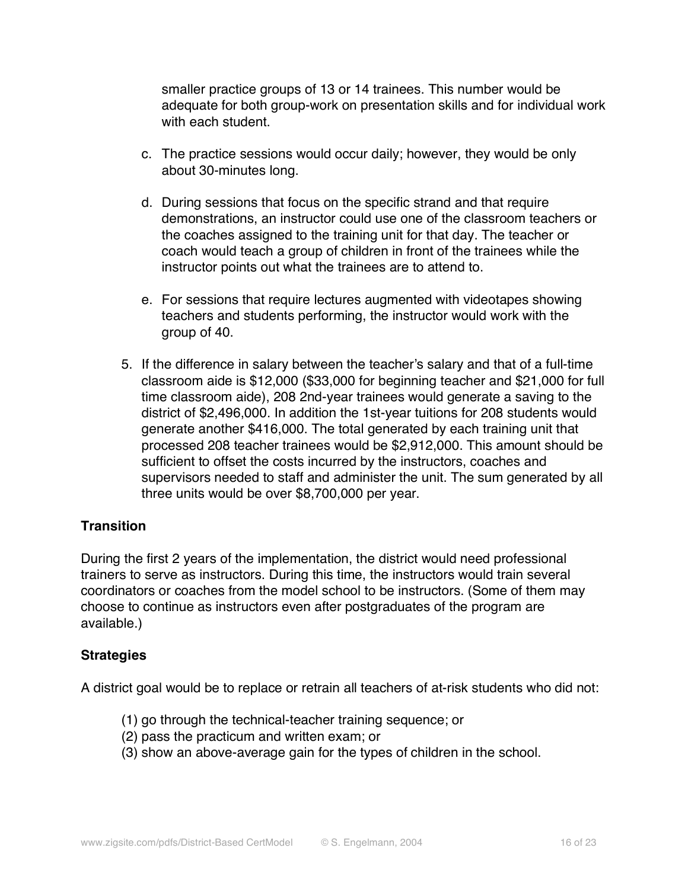smaller practice groups of 13 or 14 trainees. This number would be adequate for both group-work on presentation skills and for individual work with each student.

- c. The practice sessions would occur daily; however, they would be only about 30-minutes long.
- d. During sessions that focus on the specific strand and that require demonstrations, an instructor could use one of the classroom teachers or the coaches assigned to the training unit for that day. The teacher or coach would teach a group of children in front of the trainees while the instructor points out what the trainees are to attend to.
- e. For sessions that require lectures augmented with videotapes showing teachers and students performing, the instructor would work with the group of 40.
- 5. If the difference in salary between the teacher's salary and that of a full-time classroom aide is \$12,000 (\$33,000 for beginning teacher and \$21,000 for full time classroom aide), 208 2nd-year trainees would generate a saving to the district of \$2,496,000. In addition the 1st-year tuitions for 208 students would generate another \$416,000. The total generated by each training unit that processed 208 teacher trainees would be \$2,912,000. This amount should be sufficient to offset the costs incurred by the instructors, coaches and supervisors needed to staff and administer the unit. The sum generated by all three units would be over \$8,700,000 per year.

# **Transition**

During the first 2 years of the implementation, the district would need professional trainers to serve as instructors. During this time, the instructors would train several coordinators or coaches from the model school to be instructors. (Some of them may choose to continue as instructors even after postgraduates of the program are available.)

### **Strategies**

A district goal would be to replace or retrain all teachers of at-risk students who did not:

- (1) go through the technical-teacher training sequence; or
- (2) pass the practicum and written exam; or
- (3) show an above-average gain for the types of children in the school.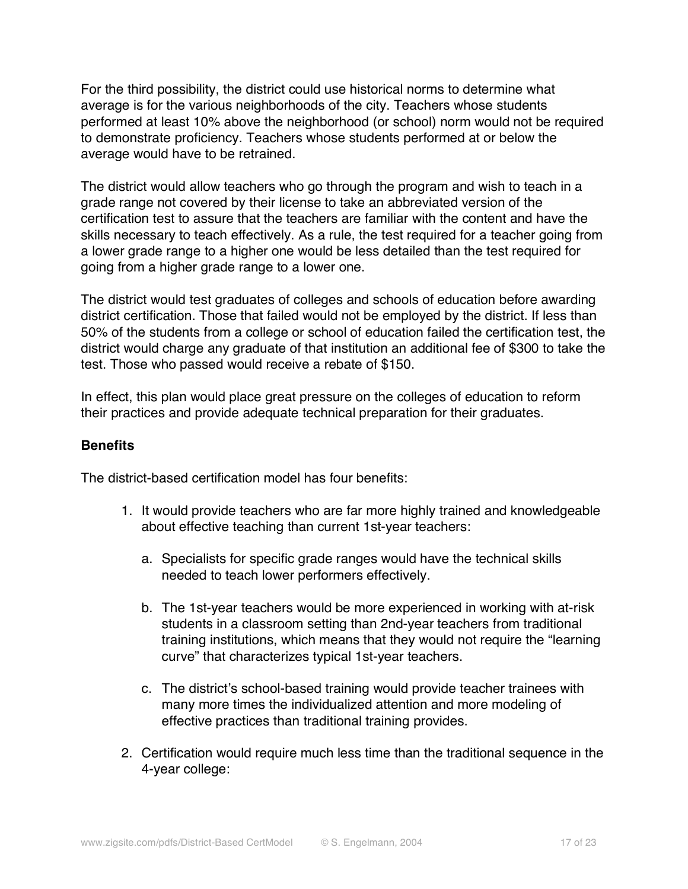For the third possibility, the district could use historical norms to determine what average is for the various neighborhoods of the city. Teachers whose students performed at least 10% above the neighborhood (or school) norm would not be required to demonstrate proficiency. Teachers whose students performed at or below the average would have to be retrained.

The district would allow teachers who go through the program and wish to teach in a grade range not covered by their license to take an abbreviated version of the certification test to assure that the teachers are familiar with the content and have the skills necessary to teach effectively. As a rule, the test required for a teacher going from a lower grade range to a higher one would be less detailed than the test required for going from a higher grade range to a lower one.

The district would test graduates of colleges and schools of education before awarding district certification. Those that failed would not be employed by the district. If less than 50% of the students from a college or school of education failed the certification test, the district would charge any graduate of that institution an additional fee of \$300 to take the test. Those who passed would receive a rebate of \$150.

In effect, this plan would place great pressure on the colleges of education to reform their practices and provide adequate technical preparation for their graduates.

### **Benefits**

The district-based certification model has four benefits:

- 1. It would provide teachers who are far more highly trained and knowledgeable about effective teaching than current 1st-year teachers:
	- a. Specialists for specific grade ranges would have the technical skills needed to teach lower performers effectively.
	- b. The 1st-year teachers would be more experienced in working with at-risk students in a classroom setting than 2nd-year teachers from traditional training institutions, which means that they would not require the "learning curve" that characterizes typical 1st-year teachers.
	- c. The district's school-based training would provide teacher trainees with many more times the individualized attention and more modeling of effective practices than traditional training provides.
- 2. Certification would require much less time than the traditional sequence in the 4-year college: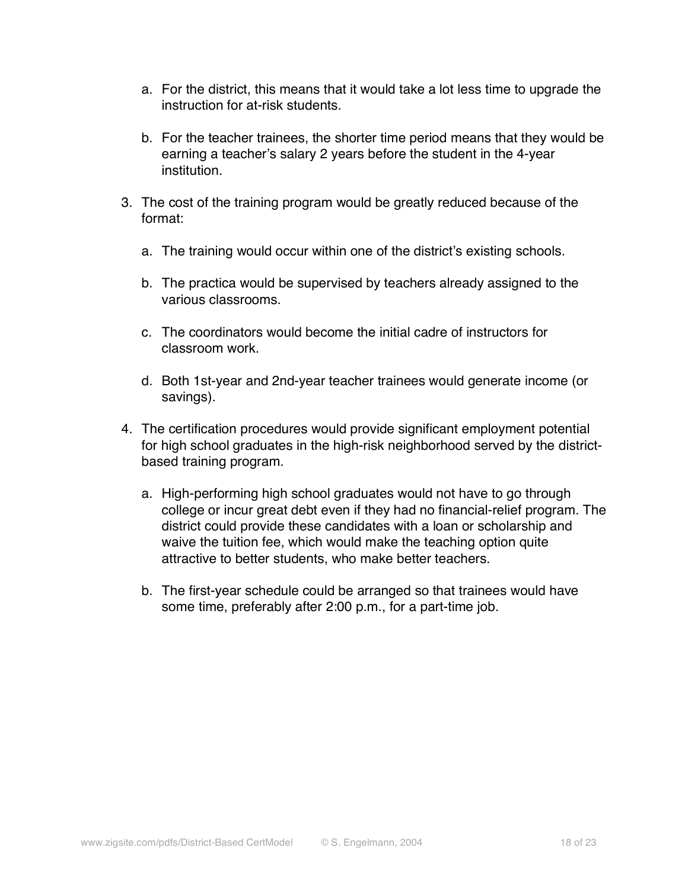- a. For the district, this means that it would take a lot less time to upgrade the instruction for at-risk students.
- b. For the teacher trainees, the shorter time period means that they would be earning a teacher's salary 2 years before the student in the 4-year institution.
- 3. The cost of the training program would be greatly reduced because of the format:
	- a. The training would occur within one of the district's existing schools.
	- b. The practica would be supervised by teachers already assigned to the various classrooms.
	- c. The coordinators would become the initial cadre of instructors for classroom work.
	- d. Both 1st-year and 2nd-year teacher trainees would generate income (or savings).
- 4. The certification procedures would provide significant employment potential for high school graduates in the high-risk neighborhood served by the districtbased training program.
	- a. High-performing high school graduates would not have to go through college or incur great debt even if they had no financial-relief program. The district could provide these candidates with a loan or scholarship and waive the tuition fee, which would make the teaching option quite attractive to better students, who make better teachers.
	- b. The first-year schedule could be arranged so that trainees would have some time, preferably after 2:00 p.m., for a part-time job.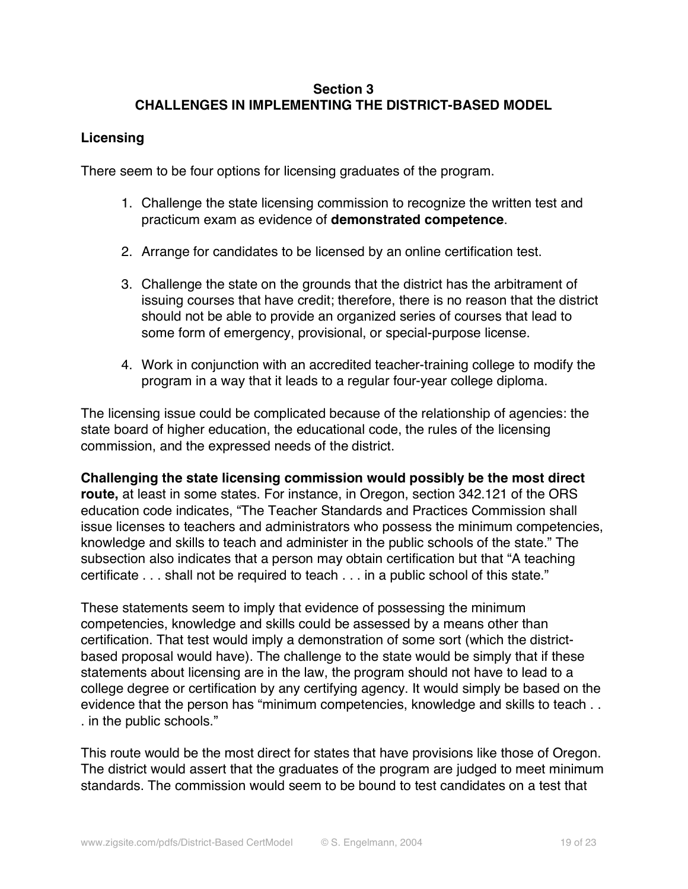# **Section 3 CHALLENGES IN IMPLEMENTING THE DISTRICT-BASED MODEL**

## **Licensing**

There seem to be four options for licensing graduates of the program.

- 1. Challenge the state licensing commission to recognize the written test and practicum exam as evidence of **demonstrated competence**.
- 2. Arrange for candidates to be licensed by an online certification test.
- 3. Challenge the state on the grounds that the district has the arbitrament of issuing courses that have credit; therefore, there is no reason that the district should not be able to provide an organized series of courses that lead to some form of emergency, provisional, or special-purpose license.
- 4. Work in conjunction with an accredited teacher-training college to modify the program in a way that it leads to a regular four-year college diploma.

The licensing issue could be complicated because of the relationship of agencies: the state board of higher education, the educational code, the rules of the licensing commission, and the expressed needs of the district.

**Challenging the state licensing commission would possibly be the most direct route,** at least in some states. For instance, in Oregon, section 342.121 of the ORS education code indicates, "The Teacher Standards and Practices Commission shall issue licenses to teachers and administrators who possess the minimum competencies, knowledge and skills to teach and administer in the public schools of the state." The subsection also indicates that a person may obtain certification but that "A teaching certificate . . . shall not be required to teach . . . in a public school of this state."

These statements seem to imply that evidence of possessing the minimum competencies, knowledge and skills could be assessed by a means other than certification. That test would imply a demonstration of some sort (which the districtbased proposal would have). The challenge to the state would be simply that if these statements about licensing are in the law, the program should not have to lead to a college degree or certification by any certifying agency. It would simply be based on the evidence that the person has "minimum competencies, knowledge and skills to teach . . . in the public schools."

This route would be the most direct for states that have provisions like those of Oregon. The district would assert that the graduates of the program are judged to meet minimum standards. The commission would seem to be bound to test candidates on a test that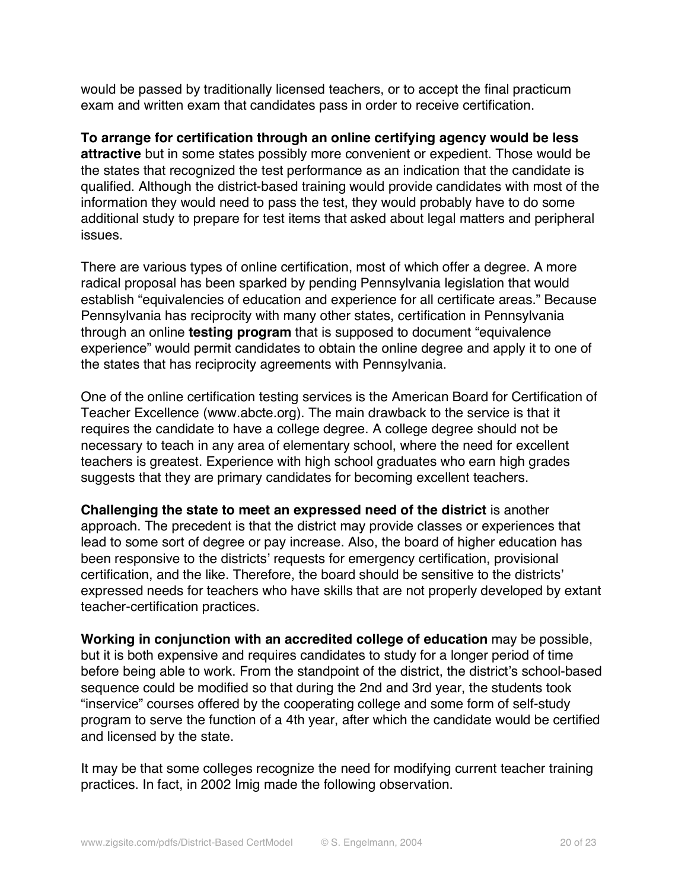would be passed by traditionally licensed teachers, or to accept the final practicum exam and written exam that candidates pass in order to receive certification.

**To arrange for certification through an online certifying agency would be less attractive** but in some states possibly more convenient or expedient. Those would be the states that recognized the test performance as an indication that the candidate is qualified. Although the district-based training would provide candidates with most of the information they would need to pass the test, they would probably have to do some additional study to prepare for test items that asked about legal matters and peripheral issues.

There are various types of online certification, most of which offer a degree. A more radical proposal has been sparked by pending Pennsylvania legislation that would establish "equivalencies of education and experience for all certificate areas." Because Pennsylvania has reciprocity with many other states, certification in Pennsylvania through an online **testing program** that is supposed to document "equivalence experience" would permit candidates to obtain the online degree and apply it to one of the states that has reciprocity agreements with Pennsylvania.

One of the online certification testing services is the American Board for Certification of Teacher Excellence (www.abcte.org). The main drawback to the service is that it requires the candidate to have a college degree. A college degree should not be necessary to teach in any area of elementary school, where the need for excellent teachers is greatest. Experience with high school graduates who earn high grades suggests that they are primary candidates for becoming excellent teachers.

**Challenging the state to meet an expressed need of the district** is another approach. The precedent is that the district may provide classes or experiences that lead to some sort of degree or pay increase. Also, the board of higher education has been responsive to the districts' requests for emergency certification, provisional certification, and the like. Therefore, the board should be sensitive to the districts' expressed needs for teachers who have skills that are not properly developed by extant teacher-certification practices.

**Working in conjunction with an accredited college of education** may be possible, but it is both expensive and requires candidates to study for a longer period of time before being able to work. From the standpoint of the district, the district's school-based sequence could be modified so that during the 2nd and 3rd year, the students took "inservice" courses offered by the cooperating college and some form of self-study program to serve the function of a 4th year, after which the candidate would be certified and licensed by the state.

It may be that some colleges recognize the need for modifying current teacher training practices. In fact, in 2002 Imig made the following observation.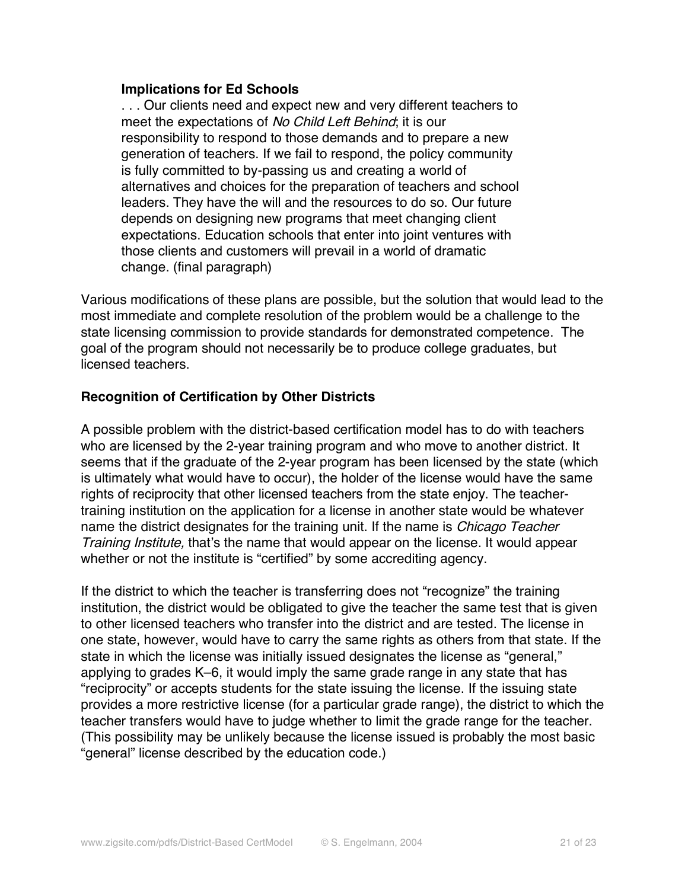### **Implications for Ed Schools**

. . . Our clients need and expect new and very different teachers to meet the expectations of No Child Left Behind; it is our responsibility to respond to those demands and to prepare a new generation of teachers. If we fail to respond, the policy community is fully committed to by-passing us and creating a world of alternatives and choices for the preparation of teachers and school leaders. They have the will and the resources to do so. Our future depends on designing new programs that meet changing client expectations. Education schools that enter into joint ventures with those clients and customers will prevail in a world of dramatic change. (final paragraph)

Various modifications of these plans are possible, but the solution that would lead to the most immediate and complete resolution of the problem would be a challenge to the state licensing commission to provide standards for demonstrated competence. The goal of the program should not necessarily be to produce college graduates, but licensed teachers.

### **Recognition of Certification by Other Districts**

A possible problem with the district-based certification model has to do with teachers who are licensed by the 2-year training program and who move to another district. It seems that if the graduate of the 2-year program has been licensed by the state (which is ultimately what would have to occur), the holder of the license would have the same rights of reciprocity that other licensed teachers from the state enjoy. The teachertraining institution on the application for a license in another state would be whatever name the district designates for the training unit. If the name is Chicago Teacher Training Institute, that's the name that would appear on the license. It would appear whether or not the institute is "certified" by some accrediting agency.

If the district to which the teacher is transferring does not "recognize" the training institution, the district would be obligated to give the teacher the same test that is given to other licensed teachers who transfer into the district and are tested. The license in one state, however, would have to carry the same rights as others from that state. If the state in which the license was initially issued designates the license as "general," applying to grades K–6, it would imply the same grade range in any state that has "reciprocity" or accepts students for the state issuing the license. If the issuing state provides a more restrictive license (for a particular grade range), the district to which the teacher transfers would have to judge whether to limit the grade range for the teacher. (This possibility may be unlikely because the license issued is probably the most basic "general" license described by the education code.)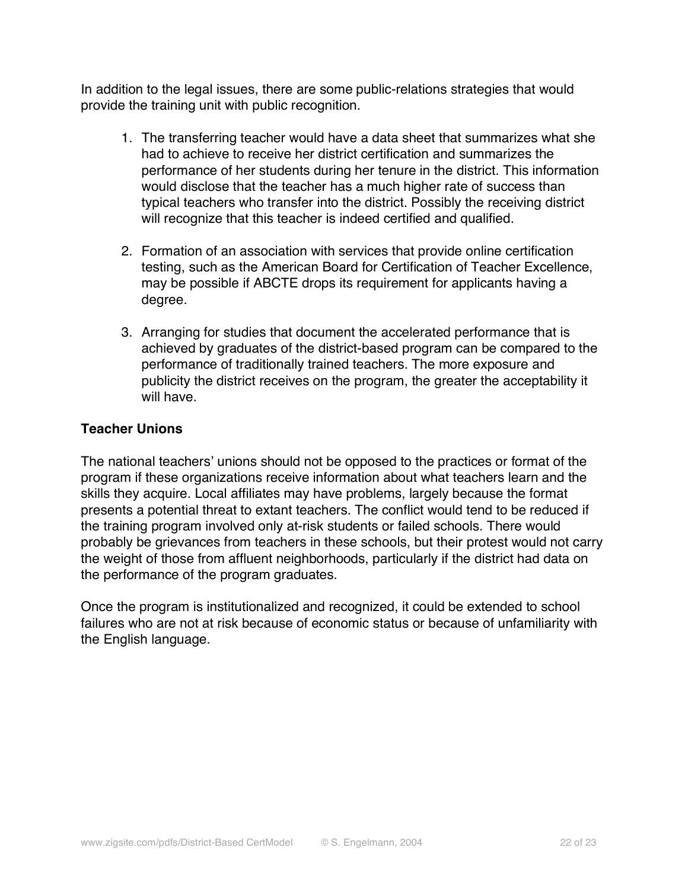In addition to the legal issues, there are some public-relations strategies that would provide the training unit with public recognition.

- 1. The transferring teacher would have a data sheet that summarizes what she had to achieve to receive her district certification and summarizes the performance of her students during her tenure in the district. This information would disclose that the teacher has a much higher rate of success than typical teachers who transfer into the district. Possibly the receiving district will recognize that this teacher is indeed certified and qualified.
- 2. Formation of an association with services that provide online certification testing, such as the American Board for Certification of Teacher Excellence, may be possible if ABCTE drops its requirement for applicants having a degree.
- 3. Arranging for studies that document the accelerated performance that is achieved by graduates of the district-based program can be compared to the performance of traditionally trained teachers. The more exposure and publicity the district receives on the program, the greater the acceptability it will have.

# **Teacher Unions**

The national teachers' unions should not be opposed to the practices or format of the program if these organizations receive information about what teachers learn and the skills they acquire. Local affiliates may have problems, largely because the format presents a potential threat to extant teachers. The conflict would tend to be reduced if the training program involved only at-risk students or failed schools. There would probably be grievances from teachers in these schools, but their protest would not carry the weight of those from affluent neighborhoods, particularly if the district had data on the performance of the program graduates.

Once the program is institutionalized and recognized, it could be extended to school failures who are not at risk because of economic status or because of unfamiliarity with the English language.